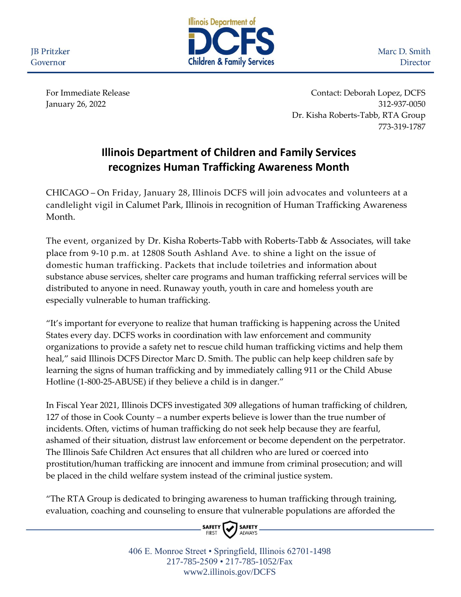**JB** Pritzker Governor



Marc D. Smith Director

For Immediate Release Contact: Deborah Lopez, DCFS January 26, 2022 312-937-0050 Dr. Kisha Roberts-Tabb, RTA Group 773-319-1787

## **Illinois Department of Children and Family Services recognizes Human Trafficking Awareness Month**

CHICAGO – On Friday, January 28, Illinois DCFS will join advocates and volunteers at a candlelight vigil in Calumet Park, Illinois in recognition of Human Trafficking Awareness Month.

The event, organized by Dr. Kisha Roberts-Tabb with Roberts-Tabb & Associates, will take place from 9-10 p.m. at 12808 South Ashland Ave. to shine a light on the issue of domestic human trafficking. Packets that include toiletries and information about substance abuse services, shelter care programs and human trafficking referral services will be distributed to anyone in need. Runaway youth, youth in care and homeless youth are especially vulnerable to human trafficking.

"It's important for everyone to realize that human trafficking is happening across the United States every day. DCFS works in coordination with law enforcement and community organizations to provide a safety net to rescue child human trafficking victims and help them heal," said Illinois DCFS Director Marc D. Smith. The public can help keep children safe by learning the signs of human trafficking and by immediately calling 911 or the Child Abuse Hotline (1-800-25-ABUSE) if they believe a child is in danger."

In Fiscal Year 2021, Illinois DCFS investigated 309 allegations of human trafficking of children, 127 of those in Cook County – a number experts believe is lower than the true number of incidents. Often, victims of human trafficking do not seek help because they are fearful, ashamed of their situation, distrust law enforcement or become dependent on the perpetrator. The Illinois Safe Children Act ensures that all children who are lured or coerced into prostitution/human trafficking are innocent and immune from criminal prosecution; and will be placed in the child welfare system instead of the criminal justice system.

"The RTA Group is dedicated to bringing awareness to human trafficking through training, evaluation, coaching and counseling to ensure that vulnerable populations are afforded the



406 E. Monroe Street • Springfield, Illinois 62701-1498 217-785-2509 • 217-785-1052/Fax www2.illinois.gov/DCFS